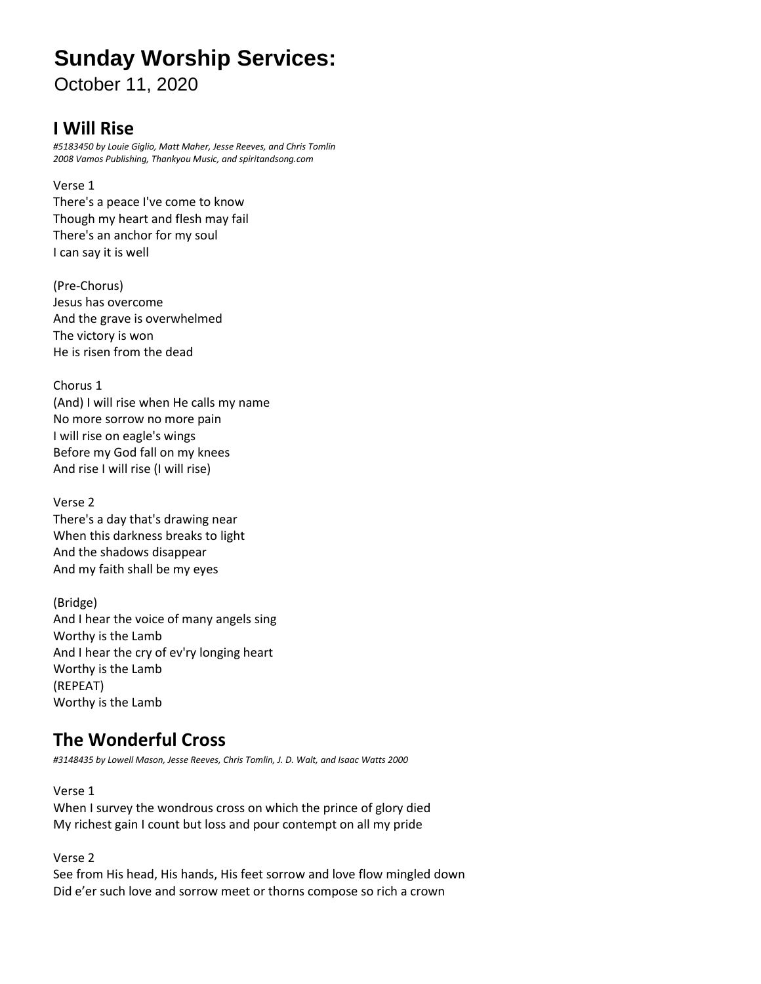# **Sunday Worship Services:**

October 11, 2020

### **I Will Rise**

*#5183450 by Louie Giglio, Matt Maher, Jesse Reeves, and Chris Tomlin 2008 Vamos Publishing, Thankyou Music, and spiritandsong.com*

Verse 1 There's a peace I've come to know Though my heart and flesh may fail There's an anchor for my soul I can say it is well

(Pre-Chorus) Jesus has overcome And the grave is overwhelmed The victory is won He is risen from the dead

Chorus 1 (And) I will rise when He calls my name No more sorrow no more pain I will rise on eagle's wings Before my God fall on my knees And rise I will rise (I will rise)

Verse 2 There's a day that's drawing near When this darkness breaks to light And the shadows disappear And my faith shall be my eyes

(Bridge) And I hear the voice of many angels sing Worthy is the Lamb And I hear the cry of ev'ry longing heart Worthy is the Lamb (REPEAT) Worthy is the Lamb

## **The Wonderful Cross**

*#3148435 by Lowell Mason, Jesse Reeves, Chris Tomlin, J. D. Walt, and Isaac Watts 2000*

Verse 1

When I survey the wondrous cross on which the prince of glory died My richest gain I count but loss and pour contempt on all my pride

Verse 2

See from His head, His hands, His feet sorrow and love flow mingled down Did e'er such love and sorrow meet or thorns compose so rich a crown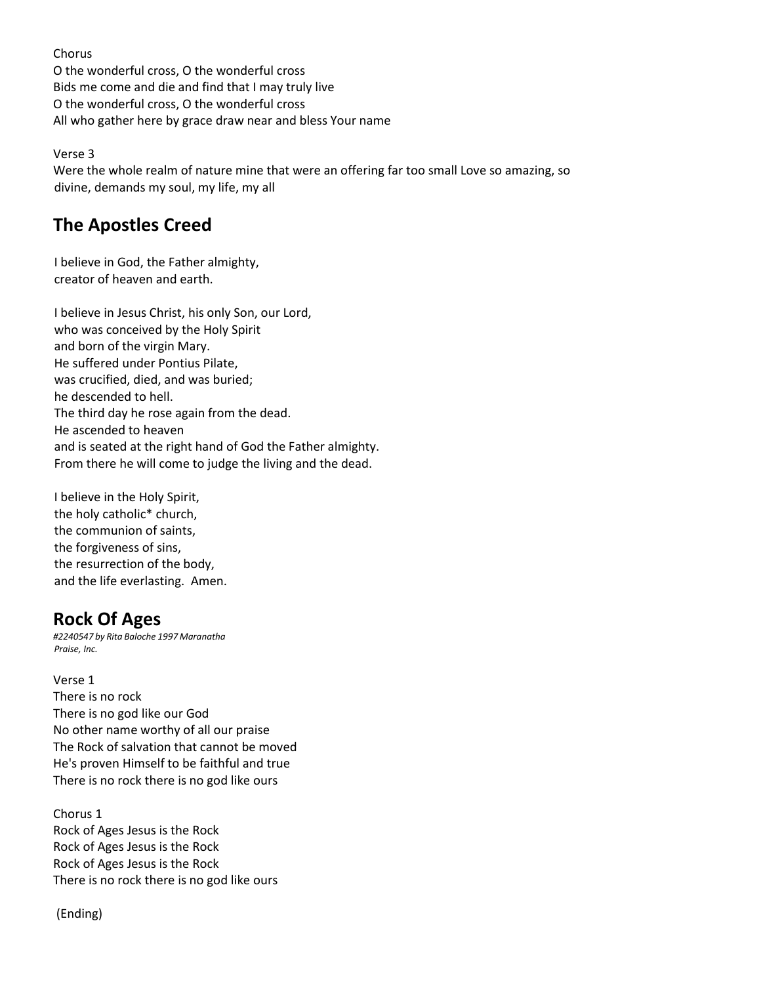Chorus O the wonderful cross, O the wonderful cross Bids me come and die and find that I may truly live O the wonderful cross, O the wonderful cross All who gather here by grace draw near and bless Your name

Verse 3

Were the whole realm of nature mine that were an offering far too small Love so amazing, so divine, demands my soul, my life, my all

## **The Apostles Creed**

I believe in God, the Father almighty, creator of heaven and earth.

I believe in Jesus Christ, his only Son, our Lord, who was conceived by the Holy Spirit and born of the virgin Mary. He suffered under Pontius Pilate, was crucified, died, and was buried; he descended to hell. The third day he rose again from the dead. He ascended to heaven and is seated at the right hand of God the Father almighty. From there he will come to judge the living and the dead.

I believe in the Holy Spirit, the holy catholic\* church, the communion of saints, the forgiveness of sins, the resurrection of the body, and the life everlasting. Amen.

### **Rock Of Ages**

*#2240547 by Rita Baloche 1997 Maranatha Praise, Inc.*

Verse 1 There is no rock There is no god like our God No other name worthy of all our praise The Rock of salvation that cannot be moved He's proven Himself to be faithful and true There is no rock there is no god like ours

Chorus 1 Rock of Ages Jesus is the Rock Rock of Ages Jesus is the Rock Rock of Ages Jesus is the Rock There is no rock there is no god like ours

(Ending)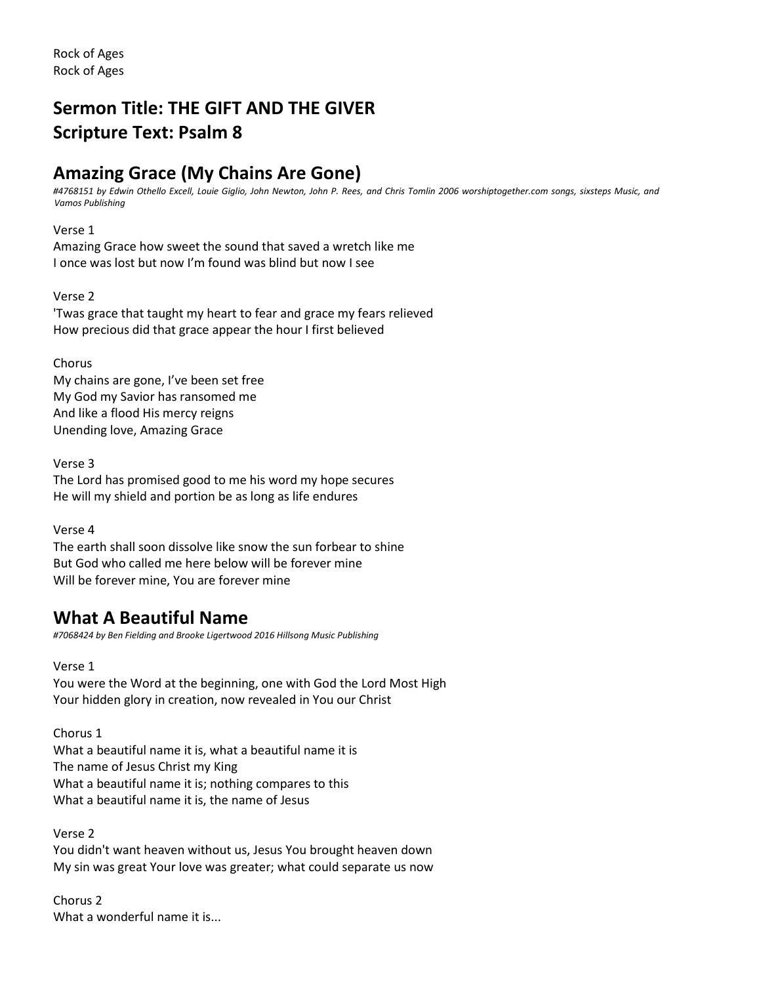# **Sermon Title: THE GIFT AND THE GIVER Scripture Text: Psalm 8**

## **Amazing Grace (My Chains Are Gone)**

*#4768151 by Edwin Othello Excell, Louie Giglio, John Newton, John P. Rees, and Chris Tomlin 2006 worshiptogether.com songs, sixsteps Music, and Vamos Publishing*

#### Verse 1

Amazing Grace how sweet the sound that saved a wretch like me I once was lost but now I'm found was blind but now I see

#### Verse 2

'Twas grace that taught my heart to fear and grace my fears relieved How precious did that grace appear the hour I first believed

Chorus

My chains are gone, I've been set free My God my Savior has ransomed me And like a flood His mercy reigns Unending love, Amazing Grace

Verse 3

The Lord has promised good to me his word my hope secures He will my shield and portion be as long as life endures

Verse 4

The earth shall soon dissolve like snow the sun forbear to shine But God who called me here below will be forever mine Will be forever mine, You are forever mine

### **What A Beautiful Name**

*#7068424 by Ben Fielding and Brooke Ligertwood 2016 Hillsong Music Publishing*

#### Verse 1

You were the Word at the beginning, one with God the Lord Most High Your hidden glory in creation, now revealed in You our Christ

Chorus 1

What a beautiful name it is, what a beautiful name it is The name of Jesus Christ my King What a beautiful name it is; nothing compares to this What a beautiful name it is, the name of Jesus

Verse 2

You didn't want heaven without us, Jesus You brought heaven down My sin was great Your love was greater; what could separate us now

Chorus 2 What a wonderful name it is...